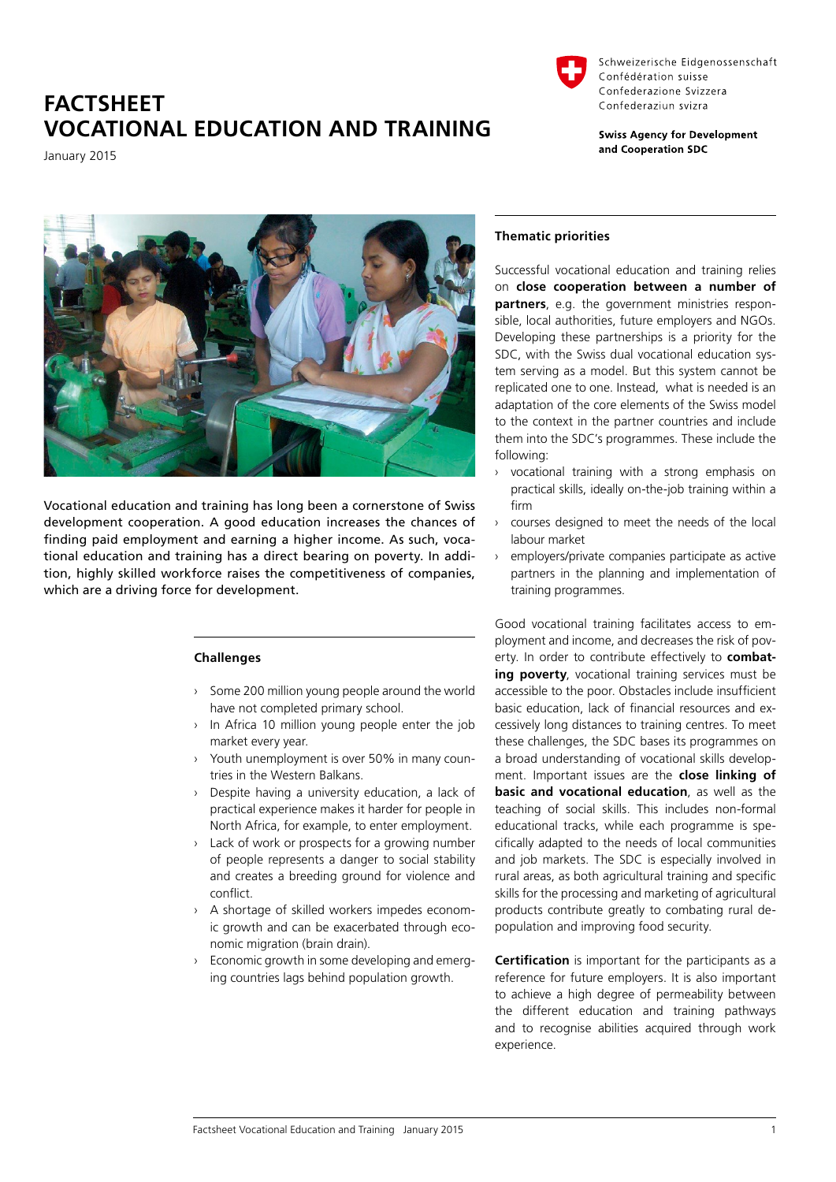# **FACTSHEET VOCATIONAL EDUCATION AND TRAINING**

January 2015



Schweizerische Eidgenossenschaft Confédération suisse Confederazione Svizzera Confederaziun svizra

**Swiss Agency for Development** and Cooperation SDC



Vocational education and training has long been a cornerstone of Swiss development cooperation. A good education increases the chances of finding paid employment and earning a higher income. As such, vocational education and training has a direct bearing on poverty. In addition, highly skilled workforce raises the competitiveness of companies, which are a driving force for development.

# **Challenges**

- › Some 200 million young people around the world have not completed primary school.
- › In Africa 10 million young people enter the job market every year.
- › Youth unemployment is over 50% in many countries in the Western Balkans.
- › Despite having a university education, a lack of practical experience makes it harder for people in North Africa, for example, to enter employment.
- Lack of work or prospects for a growing number of people represents a danger to social stability and creates a breeding ground for violence and conflict.
- › A shortage of skilled workers impedes economic growth and can be exacerbated through economic migration (brain drain).
- Economic growth in some developing and emerging countries lags behind population growth.

## **Thematic priorities**

Successful vocational education and training relies on **close cooperation between a number of partners**, e.g. the government ministries responsible, local authorities, future employers and NGOs. Developing these partnerships is a priority for the SDC, with the Swiss dual vocational education system serving as a model. But this system cannot be replicated one to one. Instead, what is needed is an adaptation of the core elements of the Swiss model to the context in the partner countries and include them into the SDC's programmes. These include the following:

- › vocational training with a strong emphasis on practical skills, ideally on-the-job training within a firm
- › courses designed to meet the needs of the local labour market
- › employers/private companies participate as active partners in the planning and implementation of training programmes.

Good vocational training facilitates access to employment and income, and decreases the risk of poverty. In order to contribute effectively to **combating poverty**, vocational training services must be accessible to the poor. Obstacles include insufficient basic education, lack of financial resources and excessively long distances to training centres. To meet these challenges, the SDC bases its programmes on a broad understanding of vocational skills development. Important issues are the **close linking of basic and vocational education**, as well as the teaching of social skills. This includes non-formal educational tracks, while each programme is specifically adapted to the needs of local communities and job markets. The SDC is especially involved in rural areas, as both agricultural training and specific skills for the processing and marketing of agricultural products contribute greatly to combating rural depopulation and improving food security.

**Certification** is important for the participants as a reference for future employers. It is also important to achieve a high degree of permeability between the different education and training pathways and to recognise abilities acquired through work experience.